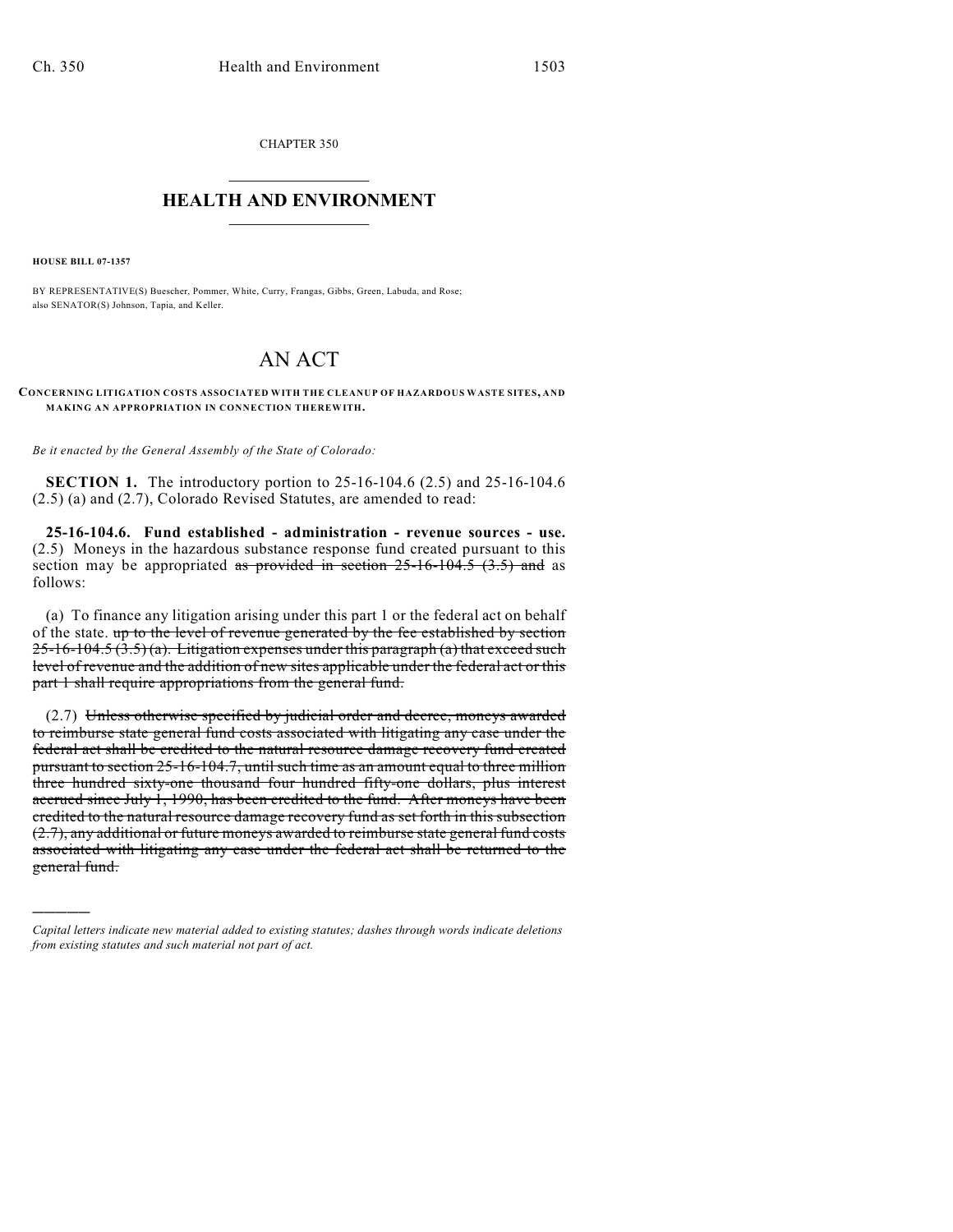CHAPTER 350  $\overline{\phantom{a}}$  . The set of the set of the set of the set of the set of the set of the set of the set of the set of the set of the set of the set of the set of the set of the set of the set of the set of the set of the set o

## **HEALTH AND ENVIRONMENT**  $\_$

**HOUSE BILL 07-1357**

)))))

BY REPRESENTATIVE(S) Buescher, Pommer, White, Curry, Frangas, Gibbs, Green, Labuda, and Rose; also SENATOR(S) Johnson, Tapia, and Keller.

## AN ACT

**CONCERNING LITIGATION COSTS ASSOCIATED WITH THE CLEANUP OF HAZARDOUS WASTE SITES, AND MAKING AN APPROPRIATION IN CONNECTION THEREWITH.**

*Be it enacted by the General Assembly of the State of Colorado:*

**SECTION 1.** The introductory portion to 25-16-104.6 (2.5) and 25-16-104.6 (2.5) (a) and (2.7), Colorado Revised Statutes, are amended to read:

**25-16-104.6. Fund established - administration - revenue sources - use.** (2.5) Moneys in the hazardous substance response fund created pursuant to this section may be appropriated as provided in section  $25$ -16-104.5 (3.5) and as follows:

(a) To finance any litigation arising under this part 1 or the federal act on behalf of the state. up to the level of revenue generated by the fee established by section  $25-16-104.5(3.5)(a)$ . Litigation expenses under this paragraph (a) that exceed such level of revenue and the addition of new sites applicable under the federal act or this part 1 shall require appropriations from the general fund.

(2.7) Unless otherwise specified by judicial order and decree, moneys awarded to reimburse state general fund costs associated with litigating any case under the federal act shall be credited to the natural resource damage recovery fund created pursuant to section 25-16-104.7, until such time as an amount equal to three million three hundred sixty-one thousand four hundred fifty-one dollars, plus interest accrued since July 1, 1990, has been credited to the fund. After moneys have been credited to the natural resource damage recovery fund as set forth in this subsection (2.7), any additional or future moneys awarded to reimburse state general fund costs associated with litigating any case under the federal act shall be returned to the general fund.

*Capital letters indicate new material added to existing statutes; dashes through words indicate deletions from existing statutes and such material not part of act.*